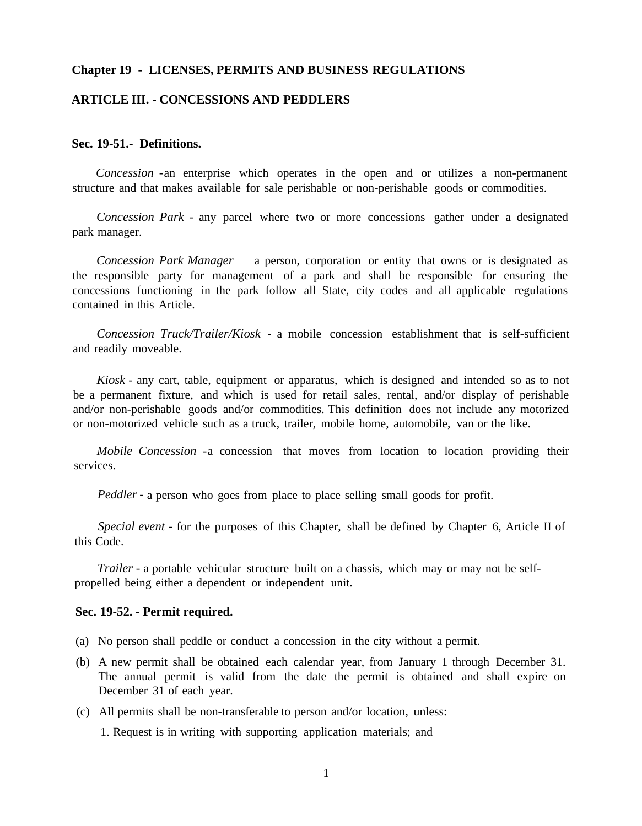#### **Chapter 19 - LICENSES, PERMITS AND BUSINESS REGULATIONS**

### **ARTICLE III. - CONCESSIONS AND PEDDLERS**

### **Sec. 19-51.- Definitions.**

*Concession* -an enterprise which operates in the open and or utilizes a non-permanent structure and that makes available for sale perishable or non-perishable goods or commodities.

*Concession Park* - any parcel where two or more concessions gather under a designated park manager.

*Concession Park Manager* a person, corporation or entity that owns or is designated as the responsible party for management of a park and shall be responsible for ensuring the concessions functioning in the park follow all State, city codes and all applicable regulations contained in this Article.

*Concession Truck/Trailer/Kiosk* - a mobile concession establishment that is self-sufficient and readily moveable.

*Kiosk* - any cart, table, equipment or apparatus, which is designed and intended so as to not be a permanent fixture, and which is used for retail sales, rental, and/or display of perishable and/or non-perishable goods and/or commodities. This definition does not include any motorized or non-motorized vehicle such as a truck, trailer, mobile home, automobile, van or the like.

*Mobile Concession* -a concession that moves from location to location providing their services.

*Peddler* - a person who goes from place to place selling small goods for profit.

*Special event* - for the purposes of this Chapter, shall be defined by Chapter 6, Article II of this Code.

*Trailer* - a portable vehicular structure built on a chassis, which may or may not be selfpropelled being either a dependent or independent unit.

#### **Sec. 19-52. - Permit required.**

- (a) No person shall peddle or conduct a concession in the city without a permit.
- (b) A new permit shall be obtained each calendar year, from January 1 through December 31. The annual permit is valid from the date the permit is obtained and shall expire on December 31 of each year.
- (c) All permits shall be non-transferable to person and/or location, unless:

1. Request is in writing with supporting application materials; and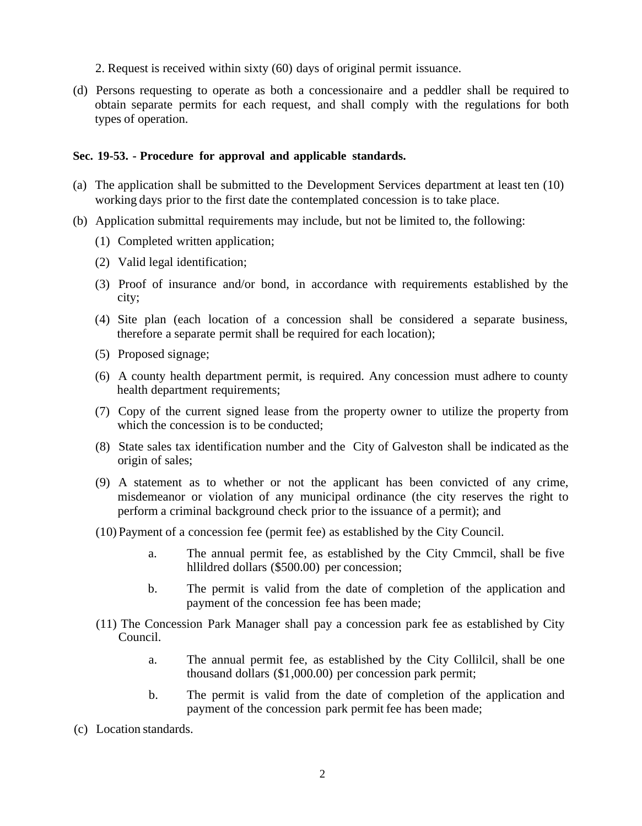- 2. Request is received within sixty (60) days of original permit issuance.
- (d) Persons requesting to operate as both a concessionaire and a peddler shall be required to obtain separate permits for each request, and shall comply with the regulations for both types of operation.

### **Sec. 19-53. - Procedure for approval and applicable standards.**

- (a) The application shall be submitted to the Development Services department at least ten (10) working days prior to the first date the contemplated concession is to take place.
- (b) Application submittal requirements may include, but not be limited to, the following:
	- (1) Completed written application;
	- (2) Valid legal identification;
	- (3) Proof of insurance and/or bond, in accordance with requirements established by the city;
	- (4) Site plan (each location of a concession shall be considered a separate business, therefore a separate permit shall be required for each location);
	- (5) Proposed signage;
	- (6) A county health department permit, is required. Any concession must adhere to county health department requirements;
	- (7) Copy of the current signed lease from the property owner to utilize the property from which the concession is to be conducted;
	- (8) State sales tax identification number and the City of Galveston shall be indicated as the origin of sales;
	- (9) A statement as to whether or not the applicant has been convicted of any crime, misdemeanor or violation of any municipal ordinance (the city reserves the right to perform a criminal background check prior to the issuance of a permit); and
	- (10) Payment of a concession fee (permit fee) as established by the City Council.
		- a. The annual permit fee, as established by the City Cmmcil, shall be five hllildred dollars (\$500.00) per concession;
		- b. The permit is valid from the date of completion of the application and payment of the concession fee has been made;
	- (11) The Concession Park Manager shall pay a concession park fee as established by City Council.
		- a. The annual permit fee, as established by the City Collilcil, shall be one thousand dollars (\$1,000.00) per concession park permit;
		- b. The permit is valid from the date of completion of the application and payment of the concession park permit fee has been made;
- (c) Location standards.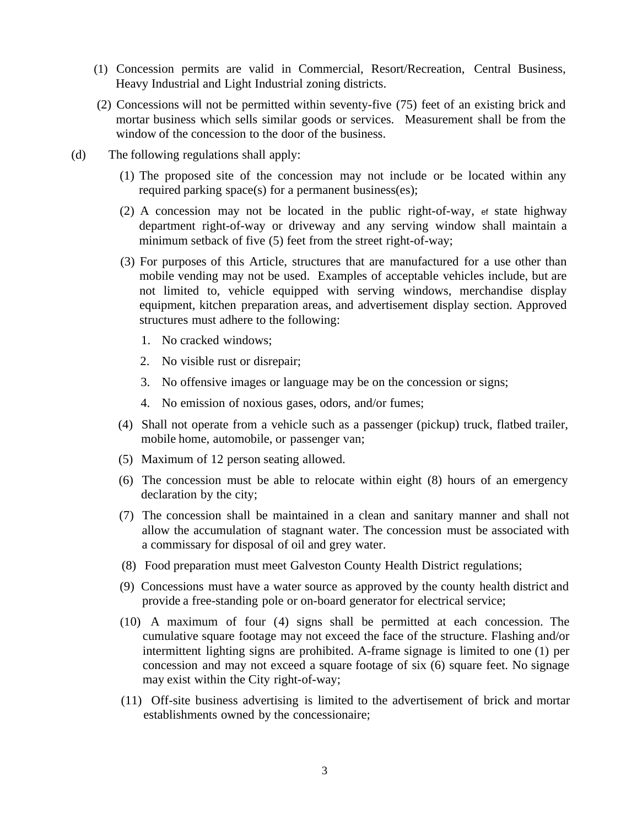- (1) Concession permits are valid in Commercial, Resort/Recreation, Central Business, Heavy Industrial and Light Industrial zoning districts.
- (2) Concessions will not be permitted within seventy-five (75) feet of an existing brick and mortar business which sells similar goods or services. Measurement shall be from the window of the concession to the door of the business.
- (d) The following regulations shall apply:
	- (1) The proposed site of the concession may not include or be located within any required parking space(s) for a permanent business(es);
	- (2) A concession may not be located in the public right-of-way, ef state highway department right-of-way or driveway and any serving window shall maintain a minimum setback of five (5) feet from the street right-of-way;
	- (3) For purposes of this Article, structures that are manufactured for a use other than mobile vending may not be used. Examples of acceptable vehicles include, but are not limited to, vehicle equipped with serving windows, merchandise display equipment, kitchen preparation areas, and advertisement display section. Approved structures must adhere to the following:
		- 1. No cracked windows;
		- 2. No visible rust or disrepair;
		- 3. No offensive images or language may be on the concession or signs;
		- 4. No emission of noxious gases, odors, and/or fumes;
	- (4) Shall not operate from a vehicle such as a passenger (pickup) truck, flatbed trailer, mobile home, automobile, or passenger van;
	- (5) Maximum of 12 person seating allowed.
	- (6) The concession must be able to relocate within eight (8) hours of an emergency declaration by the city;
	- (7) The concession shall be maintained in a clean and sanitary manner and shall not allow the accumulation of stagnant water. The concession must be associated with a commissary for disposal of oil and grey water.
	- (8) Food preparation must meet Galveston County Health District regulations;
	- (9) Concessions must have a water source as approved by the county health district and provide a free-standing pole or on-board generator for electrical service;
	- (10) A maximum of four (4) signs shall be permitted at each concession. The cumulative square footage may not exceed the face of the structure. Flashing and/or intermittent lighting signs are prohibited. A-frame signage is limited to one (1) per concession and may not exceed a square footage of six (6) square feet. No signage may exist within the City right-of-way;
	- (11) Off-site business advertising is limited to the advertisement of brick and mortar establishments owned by the concessionaire;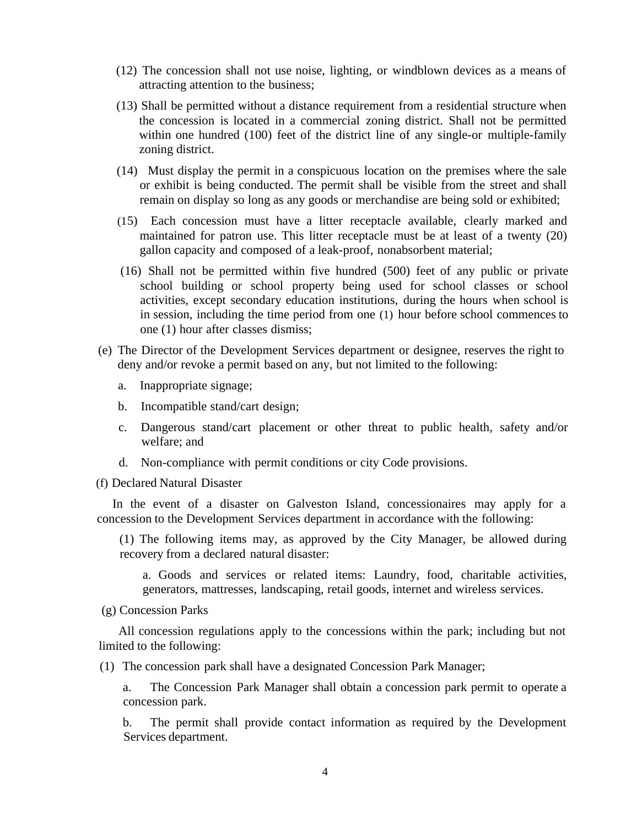- (12) The concession shall not use noise, lighting, or windblown devices as a means of attracting attention to the business;
- (13) Shall be permitted without a distance requirement from a residential structure when the concession is located in a commercial zoning district. Shall not be permitted within one hundred (100) feet of the district line of any single-or multiple-family zoning district.
- (14) Must display the permit in a conspicuous location on the premises where the sale or exhibit is being conducted. The permit shall be visible from the street and shall remain on display so long as any goods or merchandise are being sold or exhibited;
- (15) Each concession must have a litter receptacle available, clearly marked and maintained for patron use. This litter receptacle must be at least of a twenty (20) gallon capacity and composed of a leak-proof, nonabsorbent material;
- (16) Shall not be permitted within five hundred (500) feet of any public or private school building or school property being used for school classes or school activities, except secondary education institutions, during the hours when school is in session, including the time period from one (1) hour before school commences to one (1) hour after classes dismiss;
- (e) The Director of the Development Services department or designee, reserves the right to deny and/or revoke a permit based on any, but not limited to the following:
	- a. Inappropriate signage;
	- b. Incompatible stand/cart design;
	- c. Dangerous stand/cart placement or other threat to public health, safety and/or welfare; and
	- d. Non-compliance with permit conditions or city Code provisions.
- (f) Declared Natural Disaster

In the event of a disaster on Galveston Island, concessionaires may apply for a concession to the Development Services department in accordance with the following:

(1) The following items may, as approved by the City Manager, be allowed during recovery from a declared natural disaster:

a. Goods and services or related items: Laundry, food, charitable activities, generators, mattresses, landscaping, retail goods, internet and wireless services.

(g) Concession Parks

All concession regulations apply to the concessions within the park; including but not limited to the following:

(1) The concession park shall have a designated Concession Park Manager;

a. The Concession Park Manager shall obtain a concession park permit to operate a concession park.

b. The permit shall provide contact information as required by the Development Services department.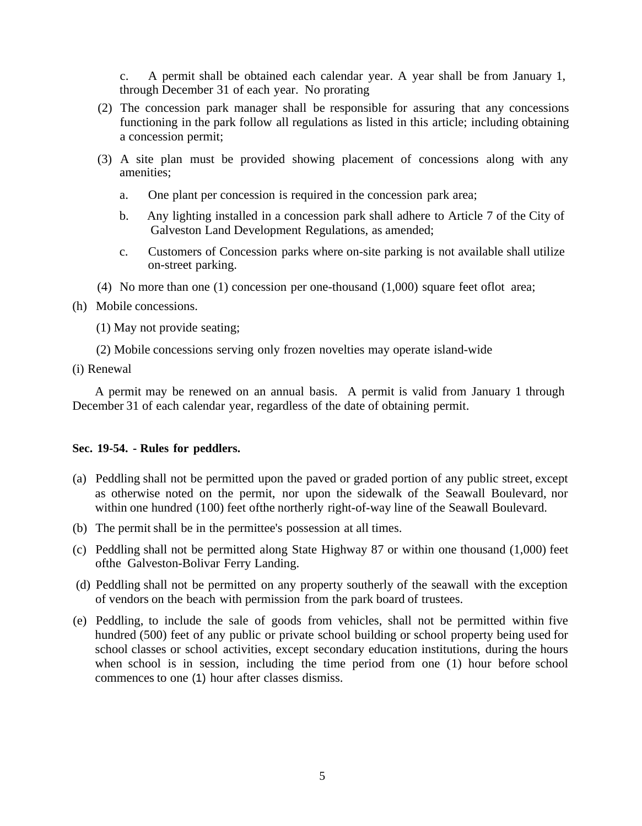c. A permit shall be obtained each calendar year. A year shall be from January 1, through December 31 of each year. No prorating

- (2) The concession park manager shall be responsible for assuring that any concessions functioning in the park follow all regulations as listed in this article; including obtaining a concession permit;
- (3) A site plan must be provided showing placement of concessions along with any amenities;
	- a. One plant per concession is required in the concession park area;
	- b. Any lighting installed in a concession park shall adhere to Article 7 of the City of Galveston Land Development Regulations, as amended;
	- c. Customers of Concession parks where on-site parking is not available shall utilize on-street parking.
- (4) No more than one (1) concession per one-thousand (1,000) square feet oflot area;
- (h) Mobile concessions.
	- (1) May not provide seating;
	- (2) Mobile concessions serving only frozen novelties may operate island-wide
- (i) Renewal

A permit may be renewed on an annual basis. A permit is valid from January 1 through December 31 of each calendar year, regardless of the date of obtaining permit.

### **Sec. 19-54. - Rules for peddlers.**

- (a) Peddling shall not be permitted upon the paved or graded portion of any public street, except as otherwise noted on the permit, nor upon the sidewalk of the Seawall Boulevard, nor within one hundred (100) feet ofthe northerly right-of-way line of the Seawall Boulevard.
- (b) The permit shall be in the permittee's possession at all times.
- (c) Peddling shall not be permitted along State Highway 87 or within one thousand (1,000) feet ofthe Galveston-Bolivar Ferry Landing.
- (d) Peddling shall not be permitted on any property southerly of the seawall with the exception of vendors on the beach with permission from the park board of trustees.
- (e) Peddling, to include the sale of goods from vehicles, shall not be permitted within five hundred (500) feet of any public or private school building or school property being used for school classes or school activities, except secondary education institutions, during the hours when school is in session, including the time period from one (1) hour before school commences to one (1) hour after classes dismiss.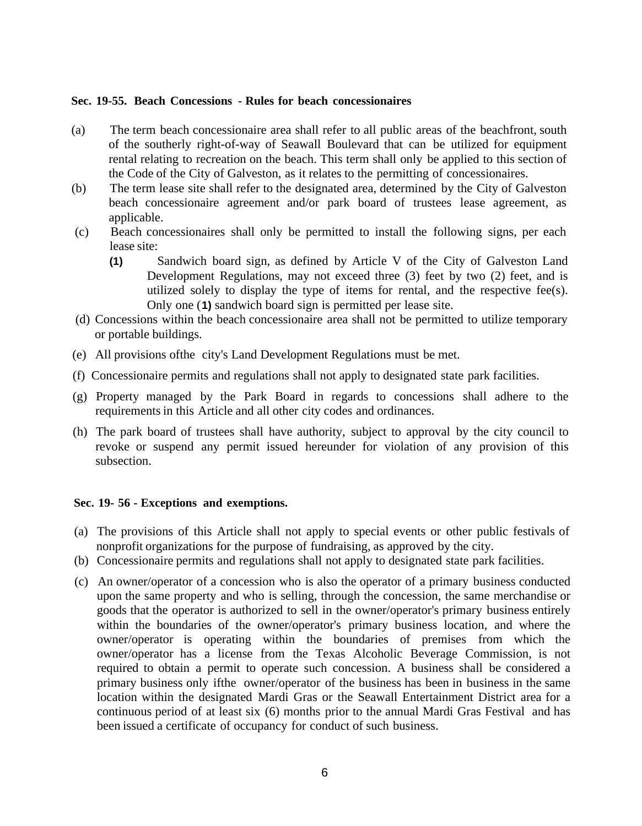#### **Sec. 19-55. Beach Concessions - Rules for beach concessionaires**

- (a) The term beach concessionaire area shall refer to all public areas of the beachfront, south of the southerly right-of-way of Seawall Boulevard that can be utilized for equipment rental relating to recreation on the beach. This term shall only be applied to this section of the Code of the City of Galveston, as it relates to the permitting of concessionaires.
- (b) The term lease site shall refer to the designated area, determined by the City of Galveston beach concessionaire agreement and/or park board of trustees lease agreement, as applicable.
- (c) Beach concessionaires shall only be permitted to install the following signs, per each lease site:
	- **(1)** Sandwich board sign, as defined by Article V of the City of Galveston Land Development Regulations, may not exceed three (3) feet by two (2) feet, and is utilized solely to display the type of items for rental, and the respective fee(s). Only one (**1)** sandwich board sign is permitted per lease site.
- (d) Concessions within the beach concessionaire area shall not be permitted to utilize temporary or portable buildings.
- (e) All provisions ofthe city's Land Development Regulations must be met.
- (f) Concessionaire permits and regulations shall not apply to designated state park facilities.
- (g) Property managed by the Park Board in regards to concessions shall adhere to the requirements in this Article and all other city codes and ordinances.
- (h) The park board of trustees shall have authority, subject to approval by the city council to revoke or suspend any permit issued hereunder for violation of any provision of this subsection.

#### **Sec. 19- 56 - Exceptions and exemptions.**

- (a) The provisions of this Article shall not apply to special events or other public festivals of nonprofit organizations for the purpose of fundraising, as approved by the city.
- (b) Concessionaire permits and regulations shall not apply to designated state park facilities.
- (c) An owner/operator of a concession who is also the operator of a primary business conducted upon the same property and who is selling, through the concession, the same merchandise or goods that the operator is authorized to sell in the owner/operator's primary business entirely within the boundaries of the owner/operator's primary business location, and where the owner/operator is operating within the boundaries of premises from which the owner/operator has a license from the Texas Alcoholic Beverage Commission, is not required to obtain a permit to operate such concession. A business shall be considered a primary business only ifthe owner/operator of the business has been in business in the same location within the designated Mardi Gras or the Seawall Entertainment District area for a continuous period of at least six (6) months prior to the annual Mardi Gras Festival and has been issued a certificate of occupancy for conduct of such business.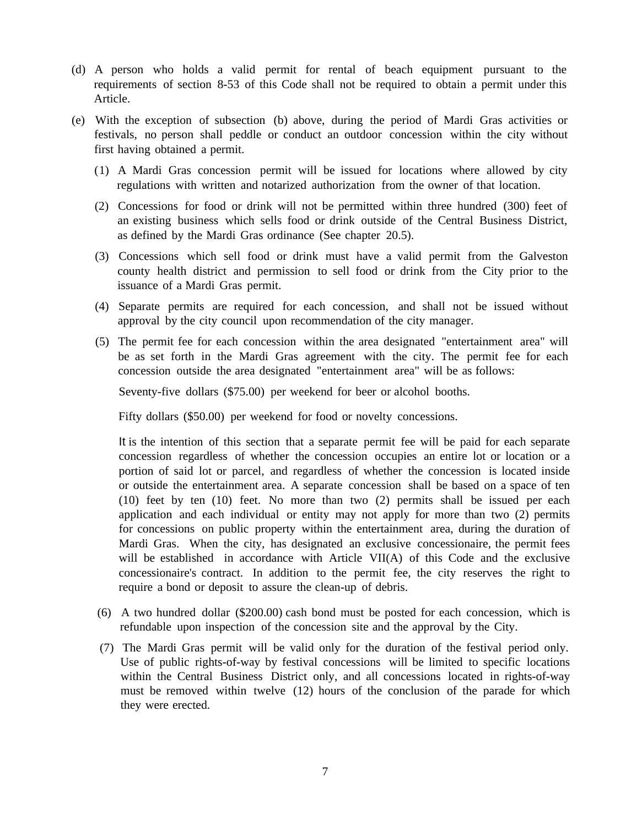- (d) A person who holds a valid permit for rental of beach equipment pursuant to the requirements of section 8-53 of this Code shall not be required to obtain a permit under this Article.
- (e) With the exception of subsection (b) above, during the period of Mardi Gras activities or festivals, no person shall peddle or conduct an outdoor concession within the city without first having obtained a permit.
	- (1) A Mardi Gras concession permit will be issued for locations where allowed by city regulations with written and notarized authorization from the owner of that location.
	- (2) Concessions for food or drink will not be permitted within three hundred (300) feet of an existing business which sells food or drink outside of the Central Business District, as defined by the Mardi Gras ordinance (See chapter 20.5).
	- (3) Concessions which sell food or drink must have a valid permit from the Galveston county health district and permission to sell food or drink from the City prior to the issuance of a Mardi Gras permit.
	- (4) Separate permits are required for each concession, and shall not be issued without approval by the city council upon recommendation of the city manager.
	- (5) The permit fee for each concession within the area designated "entertainment area" will be as set forth in the Mardi Gras agreement with the city. The permit fee for each concession outside the area designated "entertainment area" will be as follows:

Seventy-five dollars (\$75.00) per weekend for beer or alcohol booths.

Fifty dollars (\$50.00) per weekend for food or novelty concessions.

It is the intention of this section that a separate permit fee will be paid for each separate concession regardless of whether the concession occupies an entire lot or location or a portion of said lot or parcel, and regardless of whether the concession is located inside or outside the entertainment area. A separate concession shall be based on a space of ten (10) feet by ten (10) feet. No more than two (2) permits shall be issued per each application and each individual or entity may not apply for more than two (2) permits for concessions on public property within the entertainment area, during the duration of Mardi Gras. When the city, has designated an exclusive concessionaire, the permit fees will be established in accordance with Article VII(A) of this Code and the exclusive concessionaire's contract. In addition to the permit fee, the city reserves the right to require a bond or deposit to assure the clean-up of debris.

- (6) A two hundred dollar (\$200.00) cash bond must be posted for each concession, which is refundable upon inspection of the concession site and the approval by the City.
- (7) The Mardi Gras permit will be valid only for the duration of the festival period only. Use of public rights-of-way by festival concessions will be limited to specific locations within the Central Business District only, and all concessions located in rights-of-way must be removed within twelve (12) hours of the conclusion of the parade for which they were erected.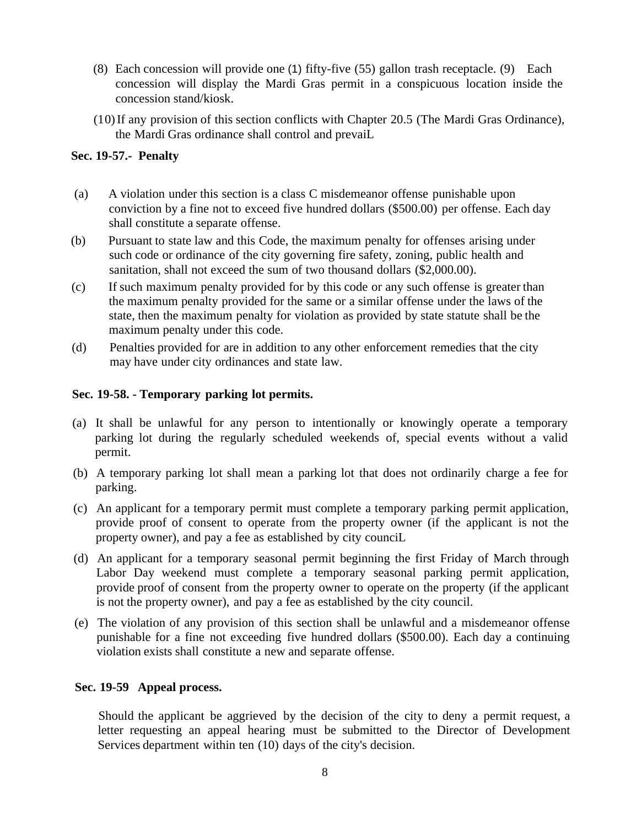- (8) Each concession will provide one (1) fifty-five (55) gallon trash receptacle. (9) Each concession will display the Mardi Gras permit in a conspicuous location inside the concession stand/kiosk.
- (10)If any provision of this section conflicts with Chapter 20.5 (The Mardi Gras Ordinance), the Mardi Gras ordinance shall control and prevaiL

# **Sec. 19-57.- Penalty**

- (a) A violation under this section is a class C misdemeanor offense punishable upon conviction by a fine not to exceed five hundred dollars (\$500.00) per offense. Each day shall constitute a separate offense.
- (b) Pursuant to state law and this Code, the maximum penalty for offenses arising under such code or ordinance of the city governing fire safety, zoning, public health and sanitation, shall not exceed the sum of two thousand dollars (\$2,000.00).
- (c) If such maximum penalty provided for by this code or any such offense is greater than the maximum penalty provided for the same or a similar offense under the laws of the state, then the maximum penalty for violation as provided by state statute shall be the maximum penalty under this code.
- (d) Penalties provided for are in addition to any other enforcement remedies that the city may have under city ordinances and state law.

## **Sec. 19-58. - Temporary parking lot permits.**

- (a) It shall be unlawful for any person to intentionally or knowingly operate a temporary parking lot during the regularly scheduled weekends of, special events without a valid permit.
- (b) A temporary parking lot shall mean a parking lot that does not ordinarily charge a fee for parking.
- (c) An applicant for a temporary permit must complete a temporary parking permit application, provide proof of consent to operate from the property owner (if the applicant is not the property owner), and pay a fee as established by city counciL
- (d) An applicant for a temporary seasonal permit beginning the first Friday of March through Labor Day weekend must complete a temporary seasonal parking permit application, provide proof of consent from the property owner to operate on the property (if the applicant is not the property owner), and pay a fee as established by the city council.
- (e) The violation of any provision of this section shall be unlawful and a misdemeanor offense punishable for a fine not exceeding five hundred dollars (\$500.00). Each day a continuing violation exists shall constitute a new and separate offense.

### **Sec. 19-59 Appeal process.**

Should the applicant be aggrieved by the decision of the city to deny a permit request, a letter requesting an appeal hearing must be submitted to the Director of Development Services department within ten (10) days of the city's decision.